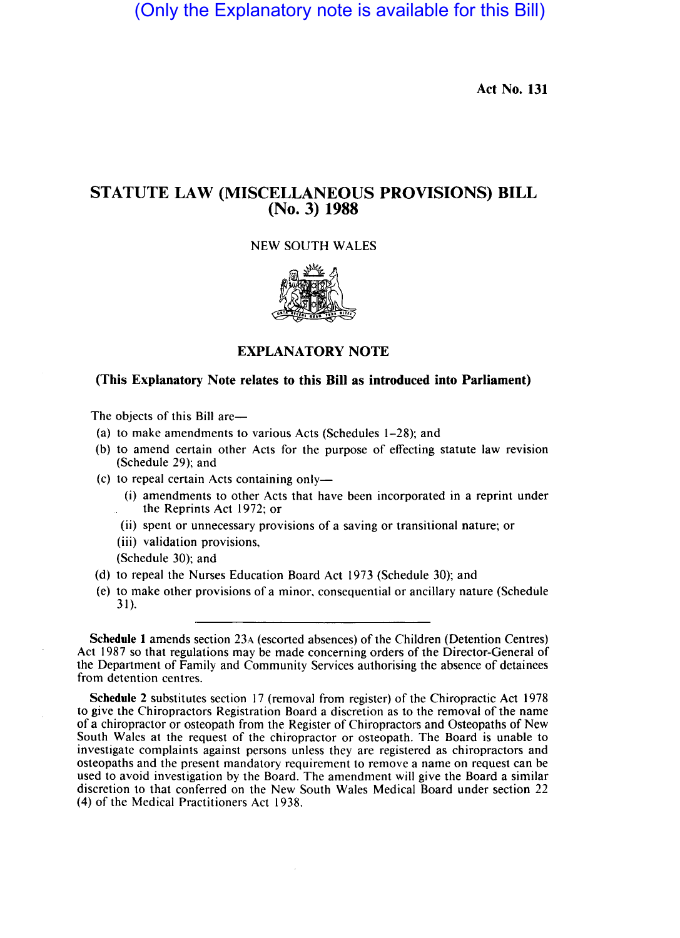(Only the Explanatory note is available for this Bill)

Act No. **131** 

## STATUTE LAW (MISCELLANEOUS **PROVISIONS) BILL**  (No. 3) **1988**

NEW SOUTH WALES



## EXPLANATORY NOTE

## (This Explanatory Note relates to this **Bill** as introduced into Parliament)

The objects of this Bill are—

- (a) to make amendments to various Acts (Schedules 1-28); and
- (b) to amend certain other Acts for the purpose of effecting statute law revision (Schedule 29); and
- (c) to repeal certain Acts containing only-
	- (i) amendments to other Acts that have been incorporated in a reprint under the Reprints Act 1972; or
	- (ii) spent or unnecessary provisions of a saving or transitional nature; or
	- (iii) validation provisions,
	- (Schedule 30); and
- (d) to repeal the Nurses Education Board Act 1973 (Schedule 30); and
- (e) to make other provisions of a minor, consequential or ancillary nature (Schedule 31 ).

Schedule 1 amends section 23A (escorted absences) of the Children (Detention Centres) Act 1987 so that regulations may be made concerning orders of the Director-General of the Department of Family and Community Services authorising the absence of detainees from detention centres.

Schedule 2 substitutes section 17 (removal from register) of the Chiropractic Act 1978 to give the Chiropractors Registration Board a discretion as to the removal of the name of a chiropractor or osteopath from the Register of Chiropractors and Osteopaths of New South Wales at the request of the chiropractor or osteopath. The Board is unable to investigate complaints against persons unless they are registered as chiropractors and osteopaths and the present mandatory requirement to remove a name on request can be used to avoid investigation by the Board. The amendment will give the Board a similar discretion to that conferred on the New South Wales Medical Board under section 22 (4) of the Medical Practitioners Act 1938.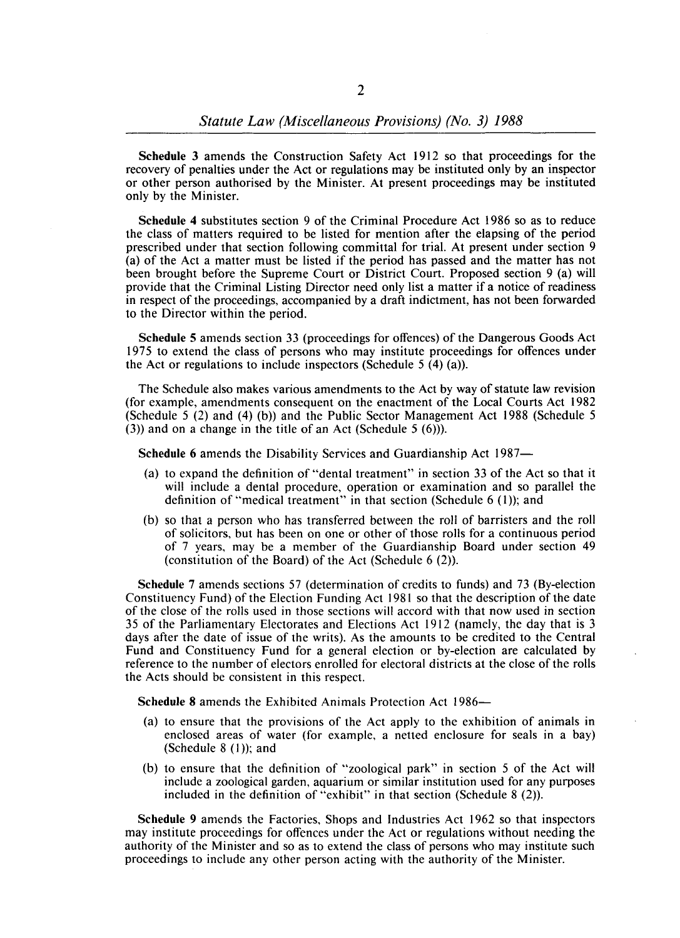**Schedule** 3 amends the Construction Safety Act 1912 so that proceedings for the recovery of penalties under the Act or regulations may be instituted only by an inspector or other person authorised by the Minister. At present proceedings may be instituted only by the Minister.

**Schedule 4** substitutes section 9 of the Criminal Procedure Act 1986 so as to reduce the class of matters required to be listed for mention after the elapsing of the period prescribed under that section following committal for trial. At present under section 9 (a) of the Act a matter must be listed if the period has passed and the matter has not been brought before the Supreme Court or District Court. Proposed section 9 (a) will provide that the Criminal Listing Director need only list a matter if a notice of readiness in respect of the proceedings, accompanied by a draft indictment, has not been forwarded to the Director within the period.

**Schedule** 5 amends section 33 (proceedings for offences) of the Dangerous Goods Act 1975 to extend the class of persons who may institute proceedings for offences under the Act or regulations to include inspectors (Schedule  $5(4)(a)$ ).

The Schedule also makes various amendments to the Act by way of statute law revision (for example, amendments consequent on the enactment of the Local Courts Act 1982 (Schedule 5 (2) and (4) (b)) and the Public Sector Management Act 1988 (Schedule 5  $(3)$  and on a change in the title of an Act (Schedule 5  $(6)$ )).

**Schedule** 6 amends the Disability Services and Guardianship Act 1987-

- (a) to expand the definition of "dental treatment" in section 33 of the Act so that it will include a dental procedure, operation or examination and so parallel the definition of "medical treatment" in that section (Schedule 6 (1)); and
- (b) so that a person who has transferred between the roll of barristers and the roll of solicitors, but has been on one or other of those rolls for a continuous period of 7 years, may be a member of the Guardianship Board under section 49 (constitution of the Board) of the Act (Schedule 6 (2».

**Schedule** 7 amends sections 57 (determination of credits to funds) and 73 (By-election Constituency Fund) of the Election Funding Act 1981 so that the description of the date of the close of the rolls used in those sections will accord with that now used in section 35 of the Parliamentary Electorates and Elections Act 1912 (namely, the day that is 3 days after the date of issue of the writs). As the amounts to be credited to the Central Fund and Constituency Fund for a general election or by-election are calculated by reference to the number of electors enrolled for electoral districts at the close of the rolls the Acts should be consistent in this respect.

**Schedule 8** amends the Exhibited Animals Protection Act 1986-

- (a) to ensure that the provisions of the Act apply to the exhibition of animals in enclosed areas of water (for example, a netted enclosure for seals in a bay) (Schedule  $8(1)$ ); and
- (b) to ensure that the definition of "zoological park" in section 5 of the Act will include a zoological garden, aquarium or similar institution used for any purposes included in the definition of "exhibit" in that section (Schedule  $8(2)$ ).

**Schedule** 9 amends the Factories, Shops and Industries Act 1962 so that inspectors may institute proceedings for offences under the Act or regulations without needing the authority of the Minister and so as to extend the class of persons who may institute such proceedings to include any other person acting with the authority of the Minister.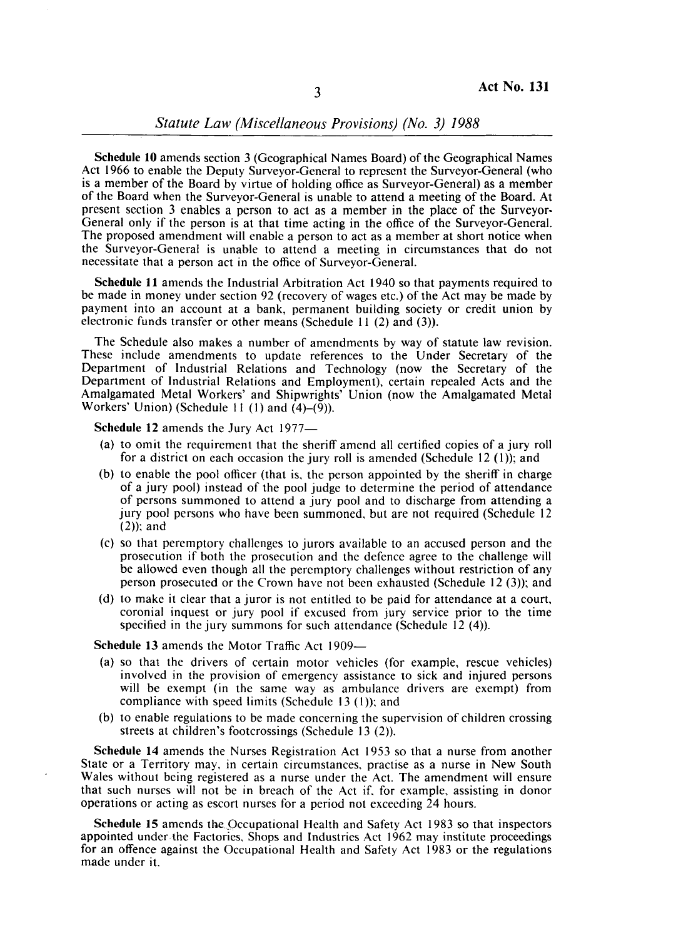Schedule **10** amends section 3 (Geographical Names Board) of the Geographical Names Act 1966 to enable the Deputy Surveyor-General to represent the Surveyor-General (who is a member of the Board by virtue of holding office as Surveyor-General) as a member of the Board when the Surveyor-General is unable to attend a meeting of the Board. At present section 3 enables a person to act as a member in the place of the Surveyor-General only if the person is at that time acting in the office of the Surveyor-General. The proposed amendment will enable a person to act as a member at short notice when the Surveyor-General is unable to attend a meeting in circumstances that do not necessitate that a person act in the office of Surveyor-General.

Schedule **11** amends the Industrial Arbitration Act 1940 so that payments required to be made in money under section 92 (recovery of wages etc.) of the Act may be made by payment into an account at a bank, permanent building society or credit union by electronic funds transfer or other means (Schedule 11 (2) and (3)).

The Schedule also makes a number of amendments by way of statute law revision. These include amendments to update references to the Under Secretary of the Department of Industrial Relations and Technology (now the Secretary of the Department of Industrial Relations and Employment), certain repealed Acts and the Amalgamated Metal Workers' and Shipwrights' Union (now the Amalgamated Metal Workers' Union) (Schedule 11 (1) and  $(4)-(9)$ ).

Schedule 12 amends the Jury Act 1977-

- (a) to omit the requirement that the sheriff amend all certified copies of a jury roll for a district on each occasion the jury roll is amended (Schedule  $12$  (1)); and
- (b) to enable the pool officer (that is, the person appointed by the sheriff in charge of a jury pool) instead of the pool judge to determine the period of attendance of persons summoned to attend a jury pool and to discharge from attending a jury pool persons who have been summoned. but are not required (Schedule 12  $(2)$ ; and
- (c) so that peremptory challenges to jurors available to an accused person and the prosecution if both the prosecution and the defence agree to the challenge will be allowed even though all the peremptory challenges without restriction of any person prosecuted or the Crown have not been exhausted (Schedule 12 (3)); and
- (d) to make it clear that a juror is not entitled to be paid for attendance at a court, coronial inquest or jury pool if excused from jury service prior to the time specified in the jury summons for such attendance (Schedule 12 (4)).

Schedule 13 amends the Motor Traffic Act 1909—

- (a) so that the drivers of certain motor vehicles (for example. rescue vehicles) involved in the provision of emergency assistance to sick and injured persons will be exempt (in the same way as ambulance drivers are exempt) from compliance with speed limits (Schedule 13 (I)); and
- (b) to enable regulations to be made concerning the supervision of children crossing streets at children's footcrossings (Schedule 13 (2)).

Schedule **14** amends the Nurses Registration Act 1953 so that a nurse from another State or a Territory may. in certain circumstances, practise as a nurse in New South Wales without being registered as a nurse under the Act. The amendment will ensure that such nurses will not be in breach of the Act if. for example, assisting in donor operations or acting as escort nurses for a period not exceeding 24 hours.

Schedule 15 amends the Occupational Health and Safety Act 1983 so that inspectors appointed under the Factories, Shops and Industries Act 1962 may institute proceedings for an offence against the Occupational Health and Safety Act 1983 or the regulations made under it.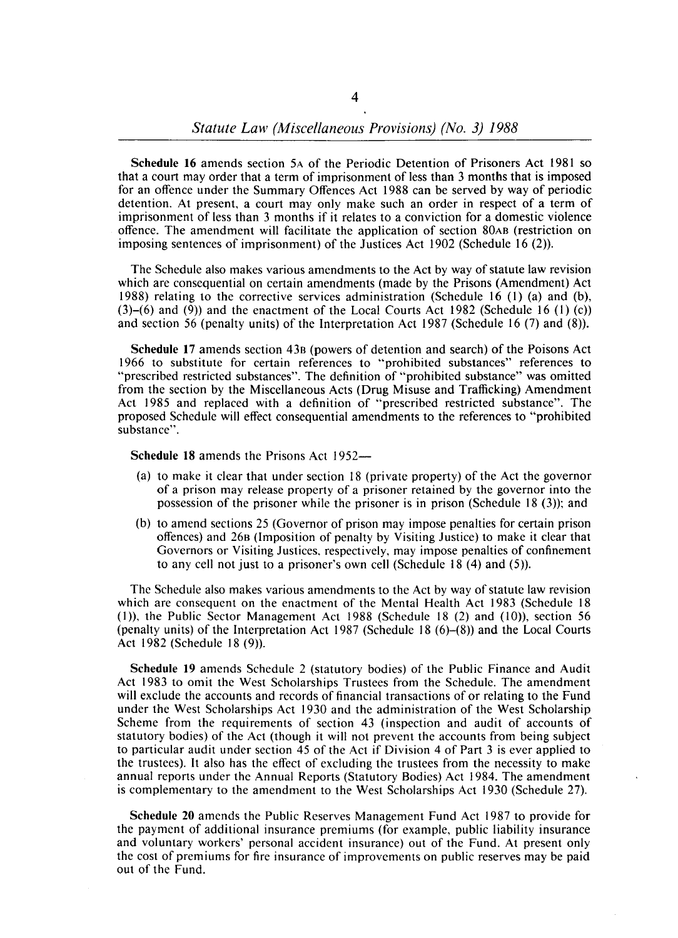**Schedule 16** amends section 5A of the Periodic Detention of Prisoners Act 1981 so that a court may order that a term of imprisonment of less than 3 months that is imposed for an offence under the Summary Offences Act 1988 can be served by way of periodic detention. At present, a court may only make such an order in respect of a term of imprisonment of less than 3 months if it relates to a conviction for a domestic violence offence. The amendment will facilitate the application of section 80AB (restriction on imposing sentences of imprisonment) of the Justices Act 1902 (Schedule 16 (2)).

The Schedule also makes various amendments to the Act by way of statute law revision which are consequential on certain amendments (made by the Prisons (Amendment) Act 1988) relating to the corrective services administration (Schedule 16 (1) (a) and (b),  $(3)-(6)$  and  $(9)$ ) and the enactment of the Local Courts Act 1982 (Schedule 16 (1) (c)) and section 56 (penalty units) of the Interpretation Act 1987 (Schedule 16 (7) and (8».

**Schedule 17** amends section 43B (powers of detention and search) of the Poisons Act 1966 to substitute for certain references to "prohibited substances" references to "prescribed restricted substances". The definition of "prohibited substance" was omitted from the section by the Miscellaneous Acts (Drug Misuse and Trafficking) Amendment Act 1985 and replaced with a definition of "prescribed restricted substance". The proposed Schedule will effect consequential amendments to the references to "prohibited substance".

**Schedule 18** amends the Prisons Act 1952-

- (a) to make it clear that under section 18 (private property) of the Act the governor of a prison may release property of a prisoner retained by the governor into the possession of the prisoner while the prisoner is in prison (Schedule 18 $(3)$ ); and
- (b) to amend sections 25 (Governor of prison may impose penalties for certain prison offences) and 26B (imposition of penalty by Visiting Justice) to make it clear that Governors or Visiting Justices, respectively, may impose penalties of confinement to any cell not just to a prisoner's own cell (Schedule 18 (4) and (5».

The Schedule also makes various amendments to the Act by way of statute law revision which are consequent on the enactment of the Mental Health Act 1983 (Schedule 18  $(1)$ ), the Public Sector Management Act 1988 (Schedule 18  $(2)$  and  $(10)$ ), section 56 (penalty units) of the Interpretation Act 1987 (Schedule 18  $(6)$ – $(8)$ ) and the Local Courts Act 1982 (Schedule 18 (9)).

**Schedule 19** amends Schedule 2 (statutory bodies) of the Public Finance and Audit Act 1983 to omit the West Scholarships Trustees from the Schedule. The amendment will exclude the accounts and records of financial transactions of or relating to the Fund under the West Scholarships Act 1930 and the administration of the West Scholarship Scheme from the requirements of section 43 (inspection and audit of accounts of statutory bodies) of the Act (though it will not prevent the accounts from being subject to particular audit under section 45 of the Act if Division 4 of Part 3 is ever applied to the trustees). It also has the effect of excluding the trustees from the necessity to make annual reports under the Annual Reports (Statutory Bodies) Act 1984. The amendment is complementary to the amendment to the West Scholarships Act 1930 (Schedule 27).

**Schedule 20** amends the Public Reserves Management Fund Act 1987 to provide for the payment of additional insurance premiums (for example, public liability insurance and voluntary workers' personal accident insurance) out of the Fund. At present only the cost of premiums for fire insurance of improvements on public reserves may be paid out of the Fund.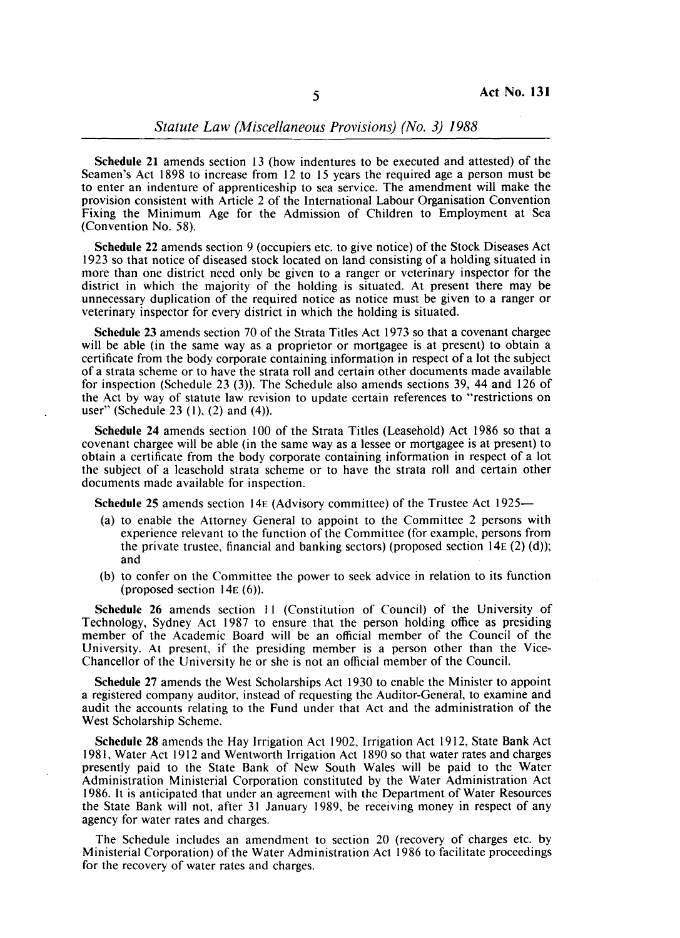*Statute Law (Miscellaneous Provisions) (No.* 3) 1988

Schedule 21 amends section 13 (how indentures to be executed and attested) of the Seamen's Act 1898 to increase from 12 to 15 years the required age a person must be to enter an indenture of apprenticeship to sea service. The amendment will make the provision consistent with Article 2 of the International Labour Organisation Convention Fixing the Minimum Age for the Admission of Children to Employment at Sea (Convention No. 58).

Schedule 22 amends section 9 (occupiers etc. to give notice) of the Stock Diseases Act 1923 so that notice of diseased stock located on land consisting of a holding situated in more than one district need only be given to a ranger or veterinary inspector for the district in which the majority of the holding is situated. At present there may be unnecessary duplication of the required notice as notice must be given to a ranger or veterinary inspector for every district in which the holding is situated.

Schedule 23 amends section 70 of the Strata Titles Act 1973 so that a covenant chargee will be able (in the same way as a proprietor or mortgagee is at present) to obtain a certificate from the body corporate containing information in respect of a lot the subject of a strata scheme or to have the strata roll and certain other documents made available for inspection (Schedule 23 (3». The Schedule also amends sections 39, 44 and 126 of the Act by way of statute law revision to update certain references to "restrictions on user" (Schedule 23 $(1)$ ,  $(2)$  and  $(4)$ ).

Schedule 24 amends section 100 of the Strata Titles (Leasehold) Act 1986 so that a covenant chargee will be able (in the same way as a lessee or mortgagee is at present) to obtain a certificate from the body corporate containing information in respect of a lot the subject of a leasehold strata scheme or to have the strata roll and certain other documents made available for inspection.

Schedule 25 amends section 14E (Advisory committee) of the Trustee Act 1925-

- (a) to enable the Attorney General to appoint to the Committee 2 persons with experience relevant to the function of the Committee (for example, persons from the private trustee, financial and banking sectors) (proposed section  $14E(2)$  (d)); and
- (b) to confer on the Committee the power to seek advice in relation to its function (proposed section  $14E(6)$ ).

Schedule 26 amends section 11 (Constitution of Council) of the University of Technology, Sydney Act 1987 to ensure that the person holding office as presiding member of the Academic Board will be an official member of the Council of the University. At present, if the presiding member is a person other than the Vice-Chancellor of the University he or she is not an official member of the Council.

Schedule 27 amends the West Scholarships Act 1930 to enable the Minister to appoint a registered company auditor, instead of requesting the Auditor-General, to examine and audit the accounts relating to the Fund under that Act and the administration of the West Scholarship Scheme.

Schedule 28 amends the Hay Irrigation Act 1902, Irrigation Act 1912, State Bank Act 1981, Water Act 1912 and Wentworth Irrigation Act 1890 so that water rates and charges presently paid to the State Bank of New South Wales will be paid to the Water Administration Ministerial Corporation constituted by the Water Administration Act 1986. It is anticipated that under an agreement with the Department of Water Resources the State Bank will not, after 31 January 1989, be receiving money in respect of any agency for water rates and charges.

The Schedule includes an amendment to section 20 (recovery of charges etc. by Ministerial Corporation) of the Water Administration Act 1986 to facilitate proceedings for the recovery of water rates and charges.